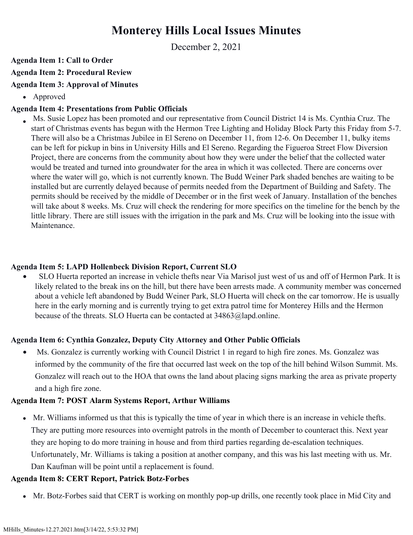# **Monterey Hills Local Issues Minutes**

December 2, 2021

#### **Agenda Item 1: Call to Order**

## **Agenda Item 2: Procedural Review**

## **Agenda Item 3: Approval of Minutes**

Approved

## **Agenda Item 4: Presentations from Public Officials**

 Ms. Susie Lopez has been promoted and our representative from Council District 14 is Ms. Cynthia Cruz. The start of Christmas events has begun with the Hermon Tree Lighting and Holiday Block Party this Friday from 5-7. There will also be a Christmas Jubilee in El Sereno on December 11, from 12-6. On December 11, bulky items can be left for pickup in bins in University Hills and El Sereno. Regarding the Figueroa Street Flow Diversion Project, there are concerns from the community about how they were under the belief that the collected water would be treated and turned into groundwater for the area in which it was collected. There are concerns over where the water will go, which is not currently known. The Budd Weiner Park shaded benches are waiting to be installed but are currently delayed because of permits needed from the Department of Building and Safety. The permits should be received by the middle of December or in the first week of January. Installation of the benches will take about 8 weeks. Ms. Cruz will check the rendering for more specifics on the timeline for the bench by the little library. There are still issues with the irrigation in the park and Ms. Cruz will be looking into the issue with **Maintenance** 

#### **Agenda Item 5: LAPD Hollenbeck Division Report, Current SLO**

• SLO Huerta reported an increase in vehicle thefts near Via Marisol just west of us and off of Hermon Park. It is likely related to the break ins on the hill, but there have been arrests made. A community member was concerned about a vehicle left abandoned by Budd Weiner Park, SLO Huerta will check on the car tomorrow. He is usually here in the early morning and is currently trying to get extra patrol time for Monterey Hills and the Hermon because of the threats. SLO Huerta can be contacted at 34863@lapd.online.

#### **Agenda Item 6: Cynthia Gonzalez, Deputy City Attorney and Other Public Officials**

• Ms. Gonzalez is currently working with Council District 1 in regard to high fire zones. Ms. Gonzalez was informed by the community of the fire that occurred last week on the top of the hill behind Wilson Summit. Ms. Gonzalez will reach out to the HOA that owns the land about placing signs marking the area as private property and a high fire zone.

#### **Agenda Item 7: POST Alarm Systems Report, Arthur Williams**

Mr. Williams informed us that this is typically the time of year in which there is an increase in vehicle thefts. They are putting more resources into overnight patrols in the month of December to counteract this. Next year they are hoping to do more training in house and from third parties regarding de-escalation techniques. Unfortunately, Mr. Williams is taking a position at another company, and this was his last meeting with us. Mr. Dan Kaufman will be point until a replacement is found.

#### **Agenda Item 8: CERT Report, Patrick Botz-Forbes**

Mr. Botz-Forbes said that CERT is working on monthly pop-up drills, one recently took place in Mid City and